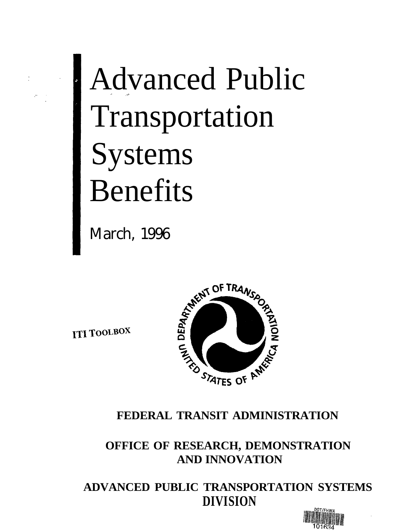

# Advanced Public Transportation Systems Benefits

March, 1996

**ITI TOOLBOX** 



### **FEDERAL TRANSIT ADMINISTRATION**

**OFFICE OF RESEARCH, DEMONSTRATION AND INNOVATION**

**ADVANCED PUBLIC TRANSPORTATION SYSTEMS DIVISION**

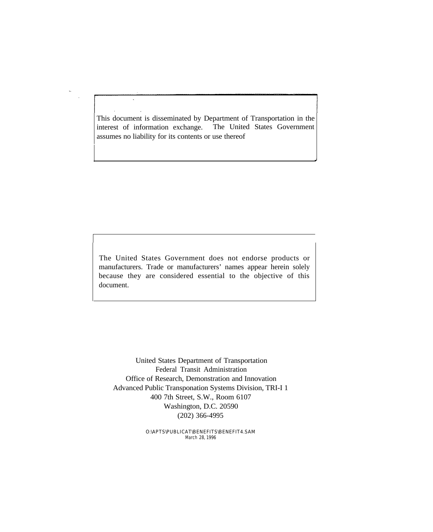This document is disseminated by Department of Transportation in the interest of information exchange. The United States Government assumes no liability for its contents or use thereof

The United States Government does not endorse products or manufacturers. Trade or manufacturers' names appear herein solely because they are considered essential to the objective of this document.

United States Department of Transportation Federal Transit Administration Office of Research, Demonstration and Innovation Advanced Public Transponation Systems Division, TRI-I 1 400 7th Street, S.W., Room 6107 Washington, D.C. 20590 (202) 366-4995

> O:\APTS\PUBLICAT\BENEFITS\BENEFIT4.SAM March 28, 1996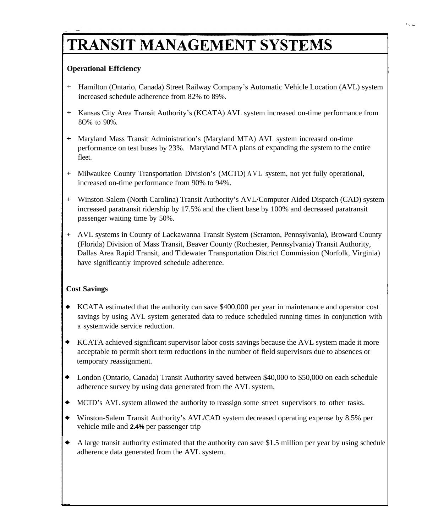# TRANSIT MANAGEMENT SYSTEMS

#### **Operational Effciency**

- + Hamilton (Ontario, Canada) Street Railway Company's Automatic Vehicle Location (AVL) system increased schedule adherence from 82% to 89%.
- $+$ Kansas City Area Transit Authority's (KCATA) AVL system increased on-time performance from 8O% to 90%.
- + Maryland Mass Transit Administration's (Maryland MTA) AVL system increased on-time performance on test buses by 23%. Maryland MTA plans of expanding the system to the entire fleet.
- + Milwaukee County Transportation Division's (MCTD) AVL system, not yet fully operational, increased on-time performance from 90% to 94%.
- + Winston-Salem (North Carolina) Transit Authority's AVL/Computer Aided Dispatch (CAD) system increased paratransit ridership by 17.5% and the client base by 100% and decreased paratransit passenger waiting time by 50%.
- + AVL systems in County of Lackawanna Transit System (Scranton, Pennsylvania), Broward County (Florida) Division of Mass Transit, Beaver County (Rochester, Pennsylvania) Transit Authority, Dallas Area Rapid Transit, and Tidewater Transportation District Commission (Norfolk, Virginia) have significantly improved schedule adherence.

#### **Cost Savings**

- KCATA estimated that the authority can save \$400,000 per year in maintenance and operator cost savings by using AVL system generated data to reduce scheduled running times in conjunction with a systemwide service reduction.
- KCATA achieved significant supervisor labor costs savings because the AVL system made it more acceptable to permit short term reductions in the number of field supervisors due to absences or temporary reassignment.
- London (Ontario, Canada) Transit Authority saved between \$40,000 to \$50,000 on each schedule adherence survey by using data generated from the AVL system.
- $\bullet$ MCTD's AVL system allowed the authority to reassign some street supervisors to other tasks.
- $\bullet$ Winston-Salem Transit Authority's AVL/CAD system decreased operating expense by 8.5% per vehicle mile and **2.4%** per passenger trip
- $\bullet$ A large transit authority estimated that the authority can save \$1.5 million per year by using schedule adherence data generated from the AVL system.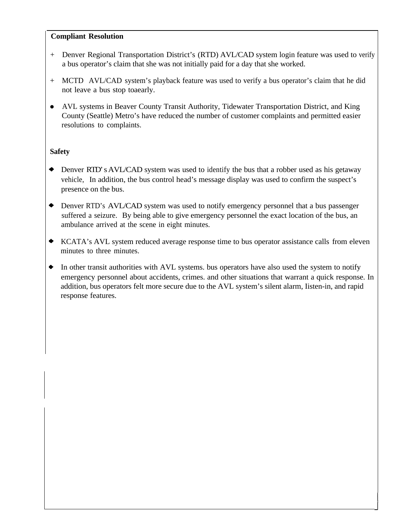#### **Compliant Resolution**

- + Denver Regional Transportation District's (RTD) AVL/CAD system login feature was used to verify a bus operator's claim that she was not initially paid for a day that she worked.
- + MCTD AVL/CAD system's playback feature was used to verify a bus operator's claim that he did not leave a bus stop toaearly.
- AVL systems in Beaver County Transit Authority, Tidewater Transportation District, and King County (Seattle) Metro's have reduced the number of customer complaints and permitted easier resolutions to complaints.

#### **Safety**

- Denver RTD's AVL/CAD system was used to identify the bus that a robber used as his getaway vehicle, In addition, the bus control head's message display was used to confirm the suspect's presence on the bus.
- Denver RTD's AVL/CAD system was used to notify emergency personnel that a bus passenger suffered a seizure. By being able to give emergency personnel the exact location of the bus, an ambulance arrived at the scene in eight minutes.
- KCATA's AVL system reduced average response time to bus operator assistance calls from eleven minutes to three minutes.
- $\blacklozenge$ In other transit authorities with AVL systems. bus operators have also used the system to notify emergency personnel about accidents, crimes. and other situations that warrant a quick response. In addition, bus operators felt more secure due to the AVL system's silent alarm, Iisten-in, and rapid response features.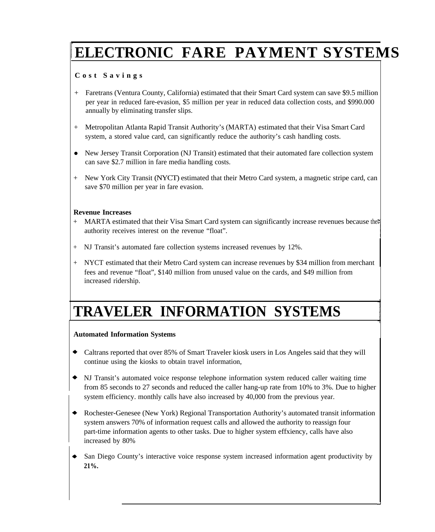# **ELECTRONIC FARE PAYMENT SYSTEMS**

#### **Cost Saving s**

- + Faretrans (Ventura County, California) estimated that their Smart Card system can save \$9.5 million per year in reduced fare-evasion, \$5 million per year in reduced data collection costs, and \$990.000 annually by eliminating transfer slips.
- + Metropolitan Atlanta Rapid Transit Authority's (MARTA) estimated that their Visa Smart Card system, a stored value card, can significantly reduce the authority's cash handling costs.
- New Jersey Transit Corporation (NJ Transit) estimated that their automated fare collection system can save \$2.7 million in fare media handling costs.
- + New York City Transit (NYCT) estimated that their Metro Card system, a magnetic stripe card, can save \$70 million per year in fare evasion.

#### **Revenue Increases**

- + MARTA estimated that their Visa Smart Card system can significantly increase revenues because the authority receives interest on the revenue "float".
- + NJ Transit's automated fare collection systems increased revenues by 12%.
- + NYCT estimated that their Metro Card system can increase revenues by \$34 million from merchant fees and revenue "float", \$140 million from unused value on the cards, and \$49 million from increased ridership.

### **TRAVELER INFORMATION SYSTEMS**

#### **Automated Information Systems**

- Caltrans reported that over 85% of Smart Traveler kiosk users in Los Angeles said that they will continue using the kiosks to obtain travel information,
- NJ Transit's automated voice response telephone information system reduced caller waiting time from 85 seconds to 27 seconds and reduced the caller hang-up rate from 10% to 3%. Due to higher system efficiency. monthly calls have also increased by 40,000 from the previous year.
- Rochester-Genesee (New York) Regional Transportation Authority's automated transit information system answers 70% of information request calls and allowed the authority to reassign four part-time information agents to other tasks. Due to higher system effxiency, calls have also increased by 80%
- San Diego County's interactive voice response system increased information agent productivity by **21%.**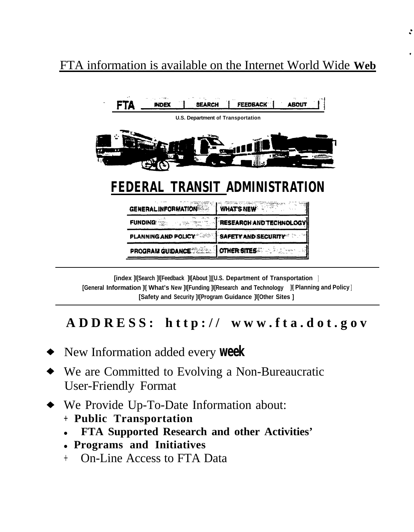### FTA information is available on the Internet World Wide **Web**



**[index ]I[Search ]l[Feedback ]I[About ]|[U.S. Department of Transportation ] [General Information ]I[ What's New ]I[Funding ]I[Research and Technology ]I[ Planning and Policy ] [Safety and Security ]I[Program Guidance ]l[Other Sites ]**

### **ADDRESS: http:// www.fta.dot.go v**

- New Information added every **week**
- We are Committed to Evolving a Non-Bureaucratic User-Friendly Format
- We Provide Up-To-Date Information about:
	- **+ Public Transportation**
	- <sup>l</sup> **FTA Supported Research and other Activities'**
	- <sup>l</sup>**Programs and Initiatives**
	- <sup>+</sup> On-Line Access to FTA Data